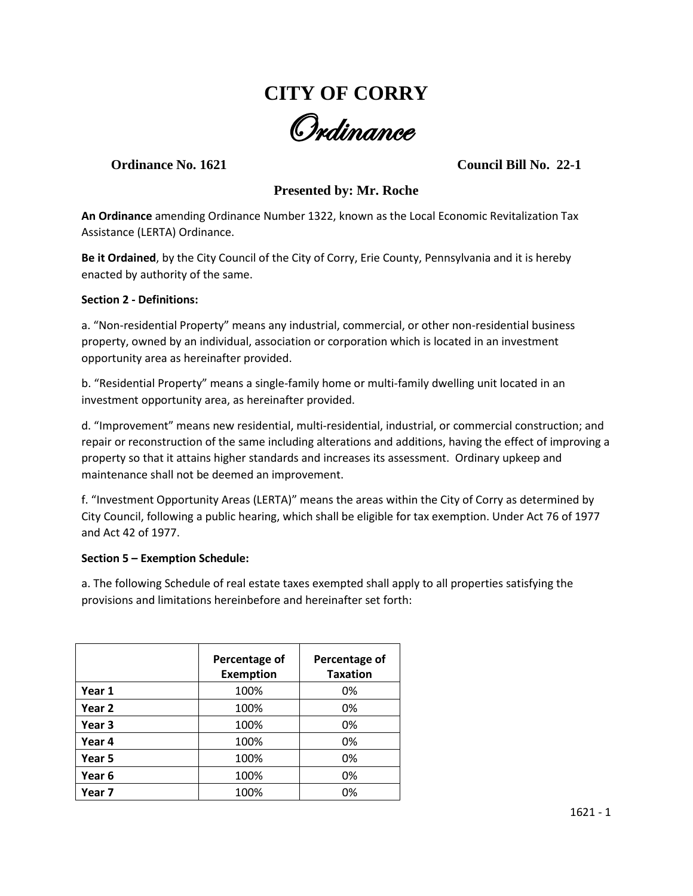# **CITY OF CORRY** Ordinance

**Ordinance No. 1621 Council Bill No. 22-1**

# **Presented by: Mr. Roche**

**An Ordinance** amending Ordinance Number 1322, known as the Local Economic Revitalization Tax Assistance (LERTA) Ordinance.

**Be it Ordained**, by the City Council of the City of Corry, Erie County, Pennsylvania and it is hereby enacted by authority of the same.

## **Section 2 - Definitions:**

a. "Non-residential Property" means any industrial, commercial, or other non-residential business property, owned by an individual, association or corporation which is located in an investment opportunity area as hereinafter provided.

b. "Residential Property" means a single-family home or multi-family dwelling unit located in an investment opportunity area, as hereinafter provided.

d. "Improvement" means new residential, multi-residential, industrial, or commercial construction; and repair or reconstruction of the same including alterations and additions, having the effect of improving a property so that it attains higher standards and increases its assessment. Ordinary upkeep and maintenance shall not be deemed an improvement.

f. "Investment Opportunity Areas (LERTA)" means the areas within the City of Corry as determined by City Council, following a public hearing, which shall be eligible for tax exemption. Under Act 76 of 1977 and Act 42 of 1977.

## **Section 5 – Exemption Schedule:**

a. The following Schedule of real estate taxes exempted shall apply to all properties satisfying the provisions and limitations hereinbefore and hereinafter set forth:

|                   | Percentage of<br><b>Exemption</b> | Percentage of<br><b>Taxation</b> |
|-------------------|-----------------------------------|----------------------------------|
| Year 1            | 100%                              | 0%                               |
| Year 2            | 100%                              | 0%                               |
| Year <sub>3</sub> | 100%                              | 0%                               |
| Year 4            | 100%                              | 0%                               |
| Year 5            | 100%                              | 0%                               |
| Year 6            | 100%                              | 0%                               |
| Year 7            | 100%                              | 0%                               |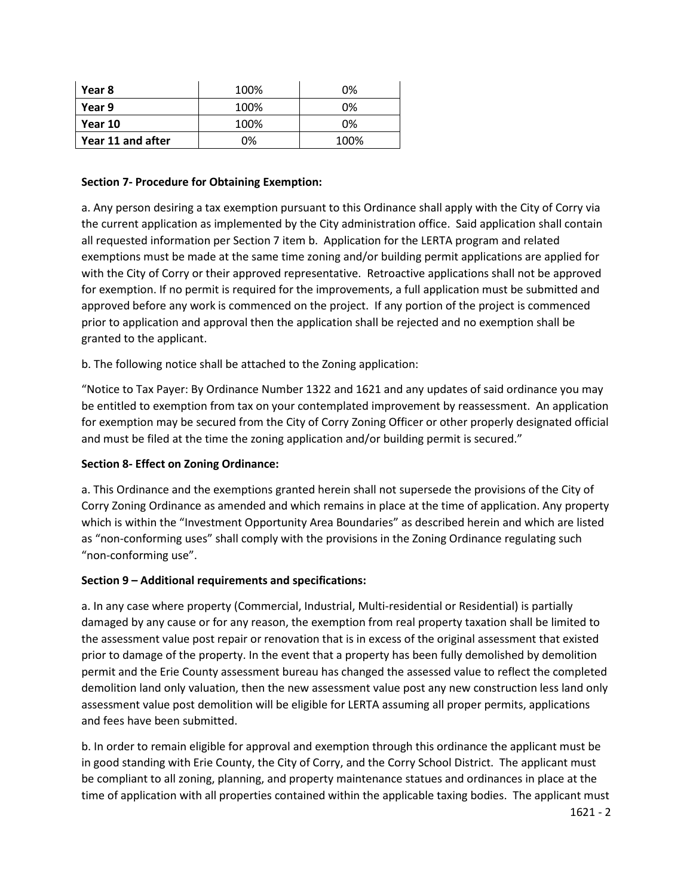| Year 8            | 100% | 0%   |
|-------------------|------|------|
| Year 9            | 100% | 0%   |
| Year 10           | 100% | 0%   |
| Year 11 and after | 0%   | 100% |

## **Section 7- Procedure for Obtaining Exemption:**

a. Any person desiring a tax exemption pursuant to this Ordinance shall apply with the City of Corry via the current application as implemented by the City administration office. Said application shall contain all requested information per Section 7 item b. Application for the LERTA program and related exemptions must be made at the same time zoning and/or building permit applications are applied for with the City of Corry or their approved representative. Retroactive applications shall not be approved for exemption. If no permit is required for the improvements, a full application must be submitted and approved before any work is commenced on the project. If any portion of the project is commenced prior to application and approval then the application shall be rejected and no exemption shall be granted to the applicant.

b. The following notice shall be attached to the Zoning application:

"Notice to Tax Payer: By Ordinance Number 1322 and 1621 and any updates of said ordinance you may be entitled to exemption from tax on your contemplated improvement by reassessment. An application for exemption may be secured from the City of Corry Zoning Officer or other properly designated official and must be filed at the time the zoning application and/or building permit is secured."

# **Section 8- Effect on Zoning Ordinance:**

a. This Ordinance and the exemptions granted herein shall not supersede the provisions of the City of Corry Zoning Ordinance as amended and which remains in place at the time of application. Any property which is within the "Investment Opportunity Area Boundaries" as described herein and which are listed as "non-conforming uses" shall comply with the provisions in the Zoning Ordinance regulating such "non-conforming use".

# **Section 9 – Additional requirements and specifications:**

a. In any case where property (Commercial, Industrial, Multi-residential or Residential) is partially damaged by any cause or for any reason, the exemption from real property taxation shall be limited to the assessment value post repair or renovation that is in excess of the original assessment that existed prior to damage of the property. In the event that a property has been fully demolished by demolition permit and the Erie County assessment bureau has changed the assessed value to reflect the completed demolition land only valuation, then the new assessment value post any new construction less land only assessment value post demolition will be eligible for LERTA assuming all proper permits, applications and fees have been submitted.

b. In order to remain eligible for approval and exemption through this ordinance the applicant must be in good standing with Erie County, the City of Corry, and the Corry School District. The applicant must be compliant to all zoning, planning, and property maintenance statues and ordinances in place at the time of application with all properties contained within the applicable taxing bodies. The applicant must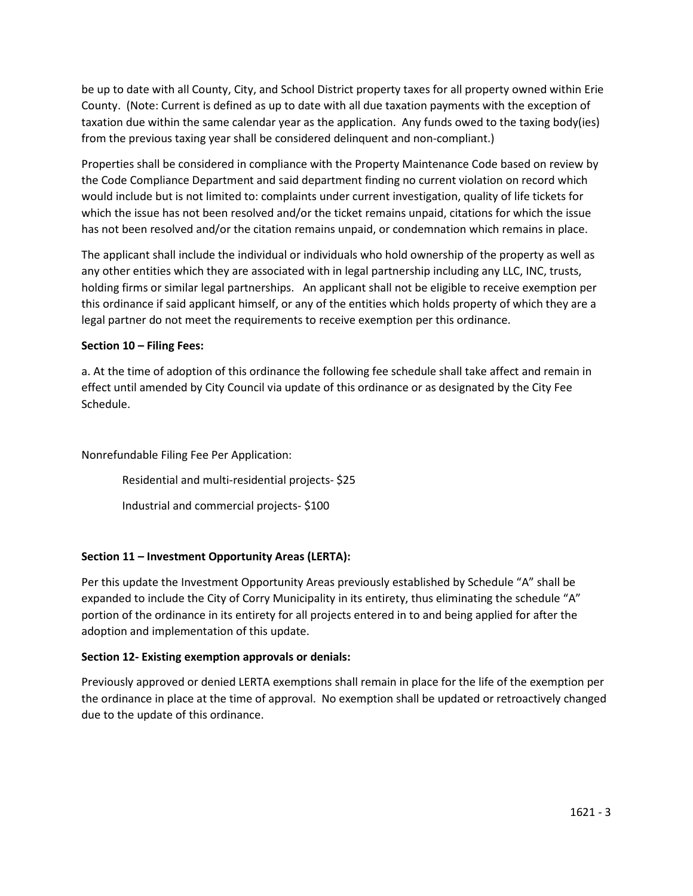be up to date with all County, City, and School District property taxes for all property owned within Erie County. (Note: Current is defined as up to date with all due taxation payments with the exception of taxation due within the same calendar year as the application. Any funds owed to the taxing body(ies) from the previous taxing year shall be considered delinquent and non-compliant.)

Properties shall be considered in compliance with the Property Maintenance Code based on review by the Code Compliance Department and said department finding no current violation on record which would include but is not limited to: complaints under current investigation, quality of life tickets for which the issue has not been resolved and/or the ticket remains unpaid, citations for which the issue has not been resolved and/or the citation remains unpaid, or condemnation which remains in place.

The applicant shall include the individual or individuals who hold ownership of the property as well as any other entities which they are associated with in legal partnership including any LLC, INC, trusts, holding firms or similar legal partnerships. An applicant shall not be eligible to receive exemption per this ordinance if said applicant himself, or any of the entities which holds property of which they are a legal partner do not meet the requirements to receive exemption per this ordinance.

# **Section 10 – Filing Fees:**

a. At the time of adoption of this ordinance the following fee schedule shall take affect and remain in effect until amended by City Council via update of this ordinance or as designated by the City Fee Schedule.

Nonrefundable Filing Fee Per Application:

Residential and multi-residential projects- \$25

Industrial and commercial projects- \$100

# **Section 11 – Investment Opportunity Areas (LERTA):**

Per this update the Investment Opportunity Areas previously established by Schedule "A" shall be expanded to include the City of Corry Municipality in its entirety, thus eliminating the schedule "A" portion of the ordinance in its entirety for all projects entered in to and being applied for after the adoption and implementation of this update.

## **Section 12- Existing exemption approvals or denials:**

Previously approved or denied LERTA exemptions shall remain in place for the life of the exemption per the ordinance in place at the time of approval. No exemption shall be updated or retroactively changed due to the update of this ordinance.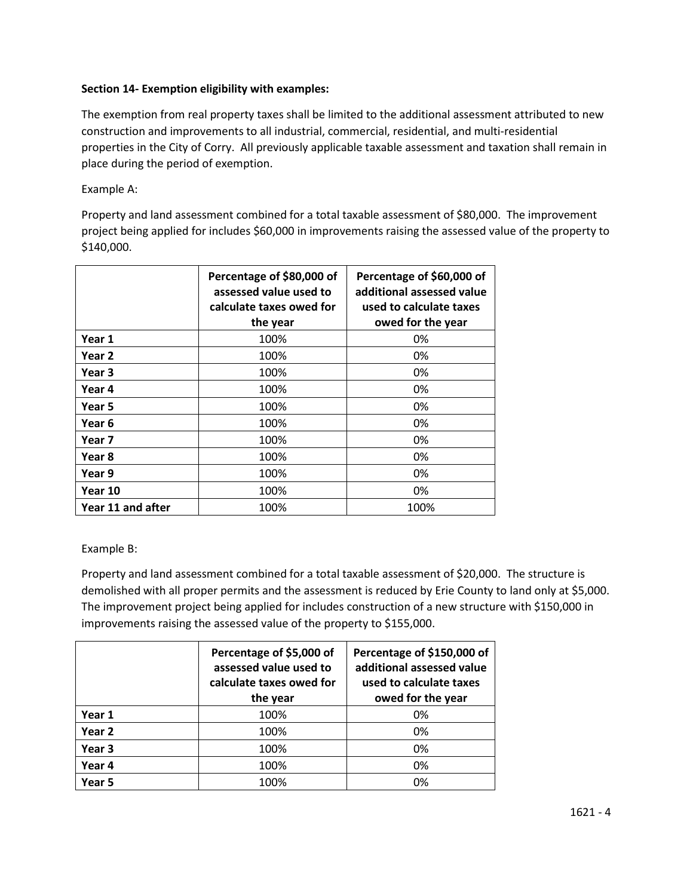# **Section 14- Exemption eligibility with examples:**

The exemption from real property taxes shall be limited to the additional assessment attributed to new construction and improvements to all industrial, commercial, residential, and multi-residential properties in the City of Corry. All previously applicable taxable assessment and taxation shall remain in place during the period of exemption.

Example A:

Property and land assessment combined for a total taxable assessment of \$80,000. The improvement project being applied for includes \$60,000 in improvements raising the assessed value of the property to \$140,000.

|                   | Percentage of \$80,000 of<br>assessed value used to<br>calculate taxes owed for<br>the year | Percentage of \$60,000 of<br>additional assessed value<br>used to calculate taxes<br>owed for the year |
|-------------------|---------------------------------------------------------------------------------------------|--------------------------------------------------------------------------------------------------------|
| Year 1            | 100%                                                                                        | 0%                                                                                                     |
| Year 2            | 100%                                                                                        | 0%                                                                                                     |
| Year 3            | 100%                                                                                        | 0%                                                                                                     |
| Year 4            | 100%                                                                                        | 0%                                                                                                     |
| Year 5            | 100%                                                                                        | 0%                                                                                                     |
| Year 6            | 100%                                                                                        | 0%                                                                                                     |
| Year 7            | 100%                                                                                        | 0%                                                                                                     |
| Year 8            | 100%                                                                                        | 0%                                                                                                     |
| Year 9            | 100%                                                                                        | 0%                                                                                                     |
| Year 10           | 100%                                                                                        | 0%                                                                                                     |
| Year 11 and after | 100%                                                                                        | 100%                                                                                                   |

Example B:

Property and land assessment combined for a total taxable assessment of \$20,000. The structure is demolished with all proper permits and the assessment is reduced by Erie County to land only at \$5,000. The improvement project being applied for includes construction of a new structure with \$150,000 in improvements raising the assessed value of the property to \$155,000.

|        | Percentage of \$5,000 of<br>assessed value used to<br>calculate taxes owed for<br>the year | Percentage of \$150,000 of<br>additional assessed value<br>used to calculate taxes<br>owed for the year |
|--------|--------------------------------------------------------------------------------------------|---------------------------------------------------------------------------------------------------------|
| Year 1 | 100%                                                                                       | 0%                                                                                                      |
| Year 2 | 100%                                                                                       | 0%                                                                                                      |
| Year 3 | 100%                                                                                       | 0%                                                                                                      |
| Year 4 | 100%                                                                                       | 0%                                                                                                      |
| Year 5 | 100%                                                                                       | 0%                                                                                                      |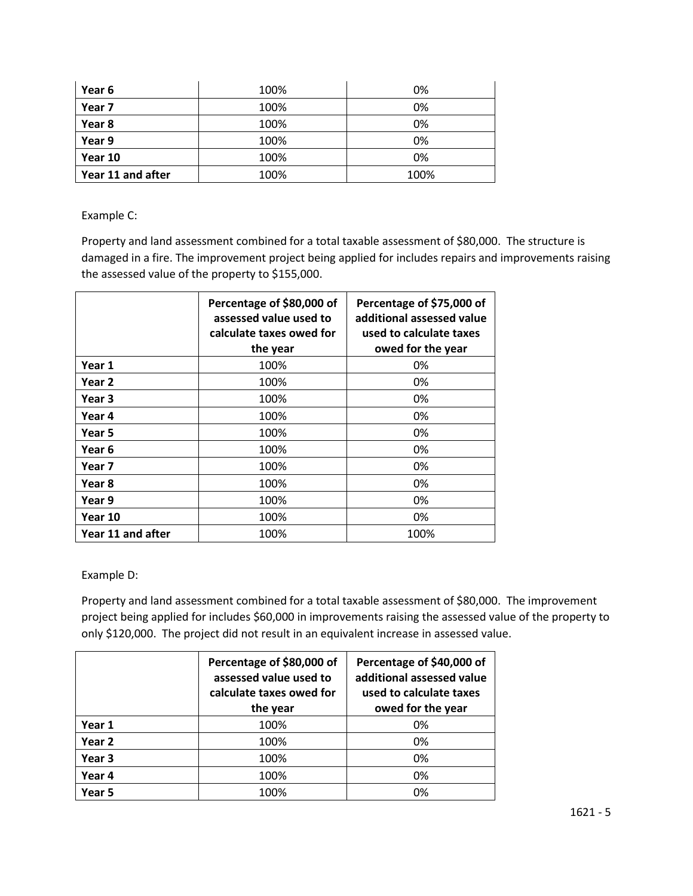| Year 6            | 100% | 0%   |
|-------------------|------|------|
| Year 7            | 100% | 0%   |
| Year 8            | 100% | 0%   |
| Year 9            | 100% | 0%   |
| Year 10           | 100% | 0%   |
| Year 11 and after | 100% | 100% |

Example C:

Property and land assessment combined for a total taxable assessment of \$80,000. The structure is damaged in a fire. The improvement project being applied for includes repairs and improvements raising the assessed value of the property to \$155,000.

|                   | Percentage of \$80,000 of<br>assessed value used to<br>calculate taxes owed for<br>the year | Percentage of \$75,000 of<br>additional assessed value<br>used to calculate taxes<br>owed for the year |
|-------------------|---------------------------------------------------------------------------------------------|--------------------------------------------------------------------------------------------------------|
| Year 1            | 100%                                                                                        | 0%                                                                                                     |
| Year 2            | 100%                                                                                        | 0%                                                                                                     |
| Year 3            | 100%                                                                                        | 0%                                                                                                     |
| Year 4            | 100%                                                                                        | 0%                                                                                                     |
| Year 5            | 100%                                                                                        | 0%                                                                                                     |
| Year 6            | 100%                                                                                        | 0%                                                                                                     |
| Year 7            | 100%                                                                                        | 0%                                                                                                     |
| Year 8            | 100%                                                                                        | 0%                                                                                                     |
| Year 9            | 100%                                                                                        | 0%                                                                                                     |
| Year 10           | 100%                                                                                        | 0%                                                                                                     |
| Year 11 and after | 100%                                                                                        | 100%                                                                                                   |

Example D:

Property and land assessment combined for a total taxable assessment of \$80,000. The improvement project being applied for includes \$60,000 in improvements raising the assessed value of the property to only \$120,000. The project did not result in an equivalent increase in assessed value.

|        | Percentage of \$80,000 of<br>assessed value used to<br>calculate taxes owed for<br>the year | Percentage of \$40,000 of<br>additional assessed value<br>used to calculate taxes<br>owed for the year |
|--------|---------------------------------------------------------------------------------------------|--------------------------------------------------------------------------------------------------------|
| Year 1 | 100%                                                                                        | 0%                                                                                                     |
| Year 2 | 100%                                                                                        | 0%                                                                                                     |
| Year 3 | 100%                                                                                        | 0%                                                                                                     |
| Year 4 | 100%                                                                                        | 0%                                                                                                     |
| Year 5 | 100%                                                                                        | 0%                                                                                                     |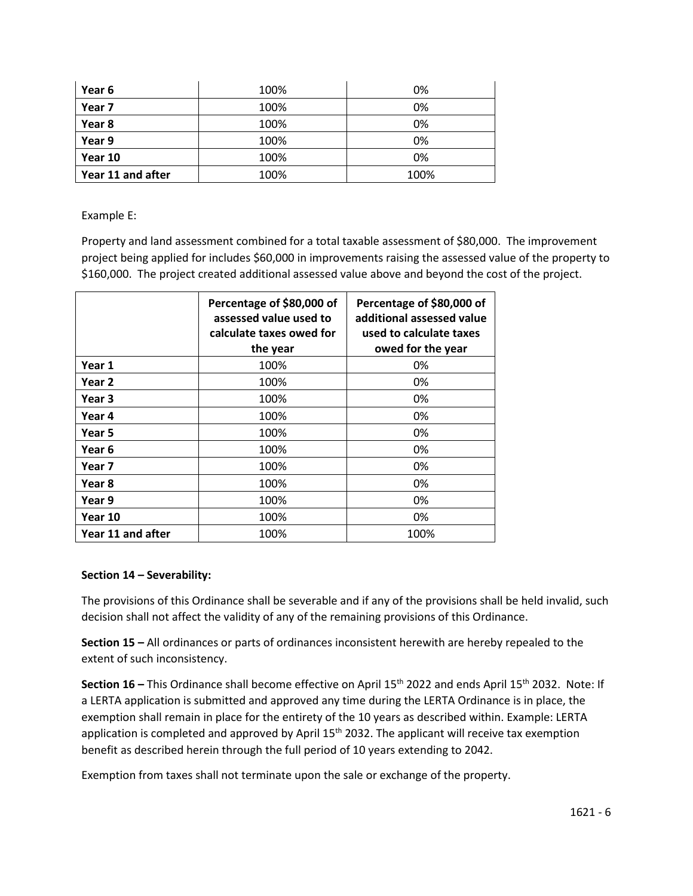| Year 6            | 100% | 0%   |
|-------------------|------|------|
| Year 7            | 100% | 0%   |
| Year 8            | 100% | 0%   |
| Year 9            | 100% | 0%   |
| Year 10           | 100% | 0%   |
| Year 11 and after | 100% | 100% |

Example E:

Property and land assessment combined for a total taxable assessment of \$80,000. The improvement project being applied for includes \$60,000 in improvements raising the assessed value of the property to \$160,000. The project created additional assessed value above and beyond the cost of the project.

|                   | Percentage of \$80,000 of<br>assessed value used to<br>calculate taxes owed for<br>the year | Percentage of \$80,000 of<br>additional assessed value<br>used to calculate taxes<br>owed for the year |
|-------------------|---------------------------------------------------------------------------------------------|--------------------------------------------------------------------------------------------------------|
| Year 1            | 100%                                                                                        | 0%                                                                                                     |
| Year 2            | 100%                                                                                        | 0%                                                                                                     |
| Year 3            | 100%                                                                                        | 0%                                                                                                     |
| Year 4            | 100%                                                                                        | 0%                                                                                                     |
| Year 5            | 100%                                                                                        | 0%                                                                                                     |
| Year 6            | 100%                                                                                        | 0%                                                                                                     |
| Year 7            | 100%                                                                                        | 0%                                                                                                     |
| Year 8            | 100%                                                                                        | 0%                                                                                                     |
| Year 9            | 100%                                                                                        | 0%                                                                                                     |
| Year 10           | 100%                                                                                        | 0%                                                                                                     |
| Year 11 and after | 100%                                                                                        | 100%                                                                                                   |

## **Section 14 – Severability:**

The provisions of this Ordinance shall be severable and if any of the provisions shall be held invalid, such decision shall not affect the validity of any of the remaining provisions of this Ordinance.

**Section 15 –** All ordinances or parts of ordinances inconsistent herewith are hereby repealed to the extent of such inconsistency.

Section 16 – This Ordinance shall become effective on April 15<sup>th</sup> 2022 and ends April 15<sup>th</sup> 2032. Note: If a LERTA application is submitted and approved any time during the LERTA Ordinance is in place, the exemption shall remain in place for the entirety of the 10 years as described within. Example: LERTA application is completed and approved by April  $15<sup>th</sup>$  2032. The applicant will receive tax exemption benefit as described herein through the full period of 10 years extending to 2042.

Exemption from taxes shall not terminate upon the sale or exchange of the property.